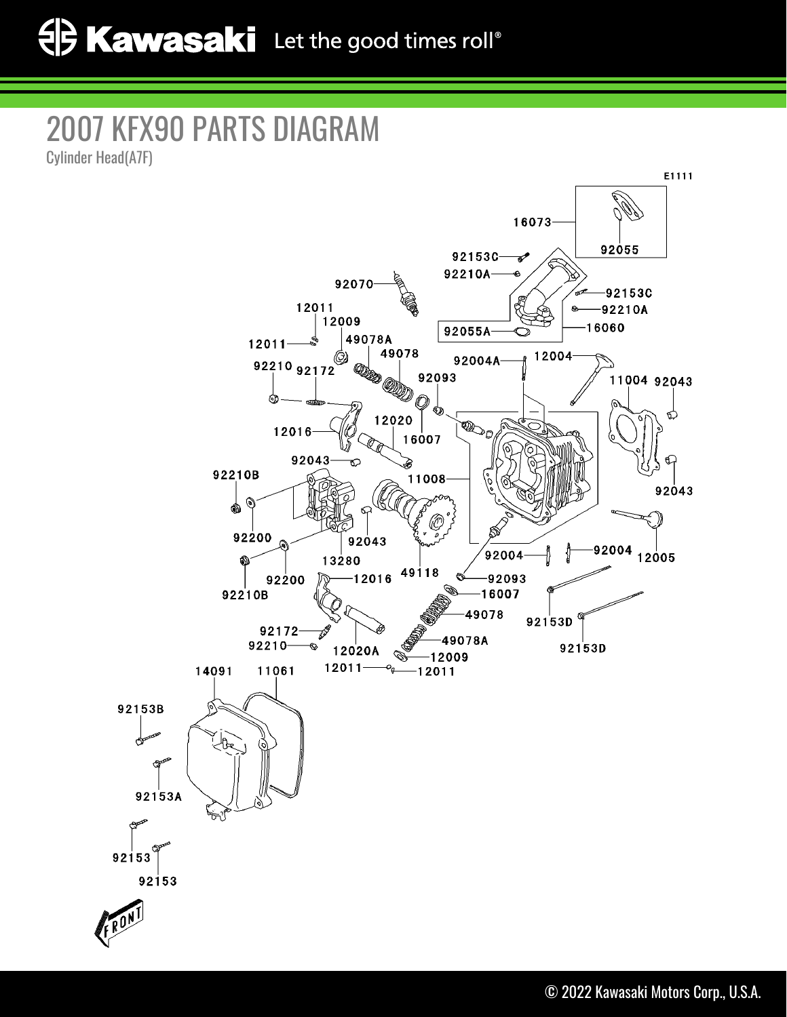## 2007 KFX90 PARTS DIAGRAM

Cylinder Head(A7F)

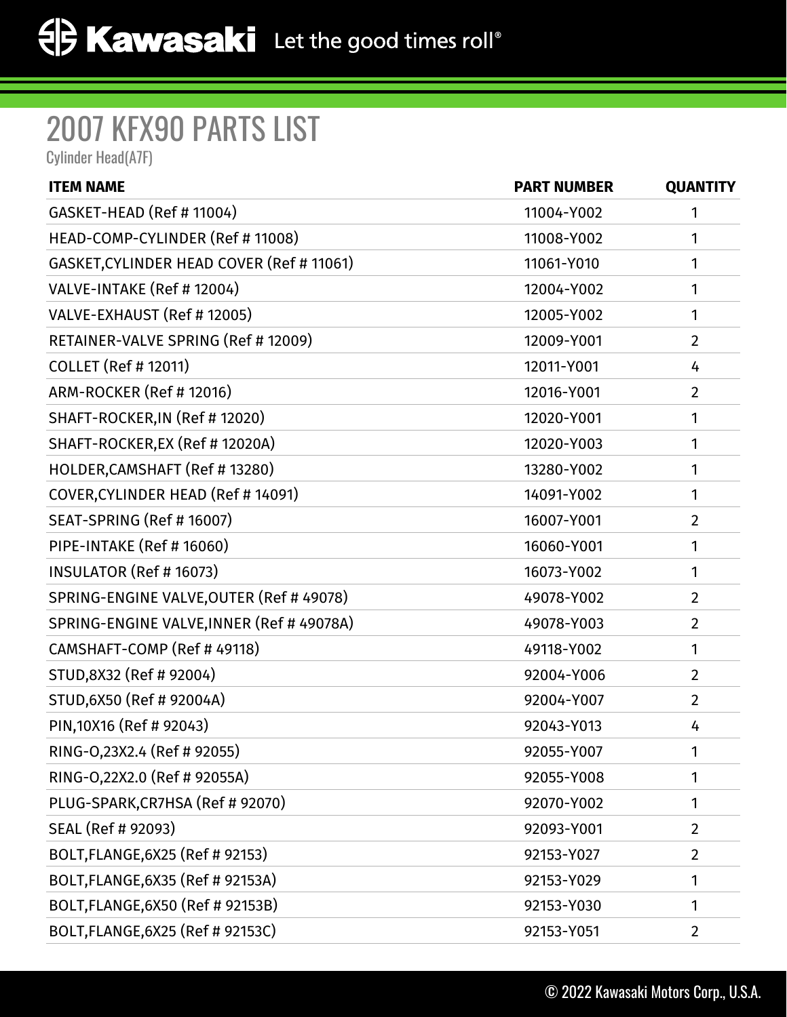## 2007 KFX90 PARTS LIST

Cylinder Head(A7F)

| <b>ITEM NAME</b>                          | <b>PART NUMBER</b> | <b>QUANTITY</b> |
|-------------------------------------------|--------------------|-----------------|
| GASKET-HEAD (Ref #11004)                  | 11004-Y002         | 1               |
| HEAD-COMP-CYLINDER (Ref # 11008)          | 11008-Y002         | 1               |
| GASKET, CYLINDER HEAD COVER (Ref # 11061) | 11061-Y010         | 1               |
| VALVE-INTAKE (Ref # 12004)                | 12004-Y002         | 1               |
| VALVE-EXHAUST (Ref # 12005)               | 12005-Y002         | 1               |
| RETAINER-VALVE SPRING (Ref # 12009)       | 12009-Y001         | $\overline{2}$  |
| <b>COLLET (Ref # 12011)</b>               | 12011-Y001         | 4               |
| ARM-ROCKER (Ref # 12016)                  | 12016-Y001         | $\overline{2}$  |
| SHAFT-ROCKER, IN (Ref # 12020)            | 12020-Y001         | 1               |
| SHAFT-ROCKER, EX (Ref # 12020A)           | 12020-Y003         | 1               |
| HOLDER, CAMSHAFT (Ref #13280)             | 13280-Y002         | 1               |
| COVER, CYLINDER HEAD (Ref # 14091)        | 14091-Y002         | 1               |
| SEAT-SPRING (Ref # 16007)                 | 16007-Y001         | $\overline{2}$  |
| PIPE-INTAKE (Ref # 16060)                 | 16060-Y001         | 1               |
| <b>INSULATOR (Ref # 16073)</b>            | 16073-Y002         | 1               |
| SPRING-ENGINE VALVE, OUTER (Ref # 49078)  | 49078-Y002         | $\overline{2}$  |
| SPRING-ENGINE VALVE, INNER (Ref # 49078A) | 49078-Y003         | $\overline{2}$  |
| CAMSHAFT-COMP (Ref # 49118)               | 49118-Y002         | 1               |
| STUD, 8X32 (Ref # 92004)                  | 92004-Y006         | $\overline{2}$  |
| STUD, 6X50 (Ref # 92004A)                 | 92004-Y007         | $\overline{2}$  |
| PIN, 10X16 (Ref # 92043)                  | 92043-Y013         | 4               |
| RING-0,23X2.4 (Ref # 92055)               | 92055-Y007         | 1               |
| RING-0,22X2.0 (Ref # 92055A)              | 92055-Y008         | 1               |
| PLUG-SPARK, CR7HSA (Ref # 92070)          | 92070-Y002         | 1               |
| SEAL (Ref # 92093)                        | 92093-Y001         | $\overline{2}$  |
| BOLT, FLANGE, 6X25 (Ref # 92153)          | 92153-Y027         | $\overline{2}$  |
| BOLT, FLANGE, 6X35 (Ref # 92153A)         | 92153-Y029         | 1               |
| BOLT, FLANGE, 6X50 (Ref # 92153B)         | 92153-Y030         | 1               |
| BOLT, FLANGE, 6X25 (Ref # 92153C)         | 92153-Y051         | $\overline{2}$  |